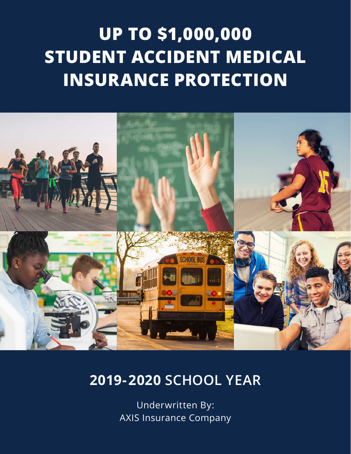# **UP TO \$1,000,000 STUDENT ACCIDENT MEDICAL INSURANCE PROTECTION**



# **2019-2020 SCHOOL YEAR**

Underwritten By: AXIS Insurance Company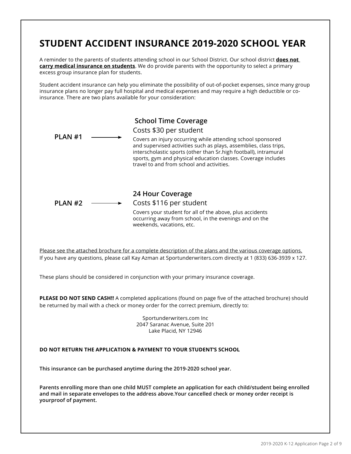# **STUDENT ACCIDENT INSURANCE 2019-2020 SCHOOL YEAR**

A reminder to the parents of students attending school in our School District. Our school district **does not carry medical insurance on students**. We do provide parents with the opportunity to select a primary excess group insurance plan for students.

Student accident insurance can help you eliminate the possibility of out-of-pocket expenses, since many group insurance plans no longer pay full hospital and medical expenses and may require a high deductible or coinsurance. There are two plans available for your consideration:



If you have any questions, please call Kay Azman at Sportunderwriters.com directly at 1 (833) 636-3939 x 127.

These plans should be considered in conjunction with your primary insurance coverage.

**PLEASE DO NOT SEND CASH!!** A completed applications (found on page five of the attached brochure) should be returned by mail with a check or money order for the correct premium, directly to:

> Sportunderwriters.com Inc 2047 Saranac Avenue, Suite 201 Lake Placid, NY 12946

#### **DO NOT RETURN THE APPLICATION & PAYMENT TO YOUR STUDENT'S SCHOOL**

**This insurance can be purchased anytime during the 2019-2020 school year.**

**Parents enrolling more than one child MUST complete an application for each child/student being enrolled and mail in separate envelopes to the address above.Your cancelled check or money order receipt is yourproof of payment.**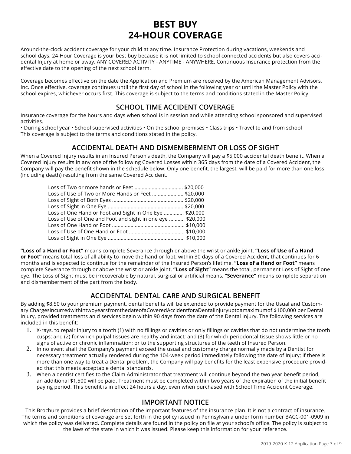# **BEST BUY 24-HOUR COVERAGE**

Around-the-clock accident coverage for your child at any time. Insurance Protection during vacations, weekends and school days. 24-Hour Coverage is your best buy because it is not limited to school connected accidents but also covers accidental Injury at home or away. ANY COVERED ACTIVITY - ANYTIME - ANYWHERE. Continuous Insurance protection from the effective date to the opening of the next school term.

Coverage becomes effective on the date the Application and Premium are received by the American Management Advisors, Inc. Once effective, coverage continues until the first day of school in the following year or until the Master Policy with the school expires, whichever occurs first. This coverage is subject to the terms and conditions stated in the Master Policy.

# **SCHOOL TIME ACCIDENT COVERAGE**

Insurance coverage for the hours and days when school is in session and while attending school sponsored and supervised activities.

• During school year • School supervised activities • On the school premises • Class trips • Travel to and from school This coverage is subject to the terms and conditions stated in the policy.

### **ACCIDENTAL DEATH AND DISMEMBERMENT OR LOSS OF SIGHT**

When a Covered Injury results in an Insured Person's death, the Company will pay a \$5,000 accidental death benefit. When a Covered Injury results in any one of the following Covered Losses within 365 days from the date of a Covered Accident, the Company will pay the benefit shown in the schedule below. Only one benefit, the largest, will be paid for more than one loss (including death) resulting from the same Covered Accident.

| Loss of Use of Two or More Hands or Feet  \$20,000         |  |
|------------------------------------------------------------|--|
|                                                            |  |
|                                                            |  |
| Loss of One Hand or Foot and Sight in One Eye  \$20,000    |  |
| Loss of Use of One and Foot and sight in one eye  \$20,000 |  |
|                                                            |  |
|                                                            |  |
|                                                            |  |

**"Loss of a Hand or Foot"** means complete Severance through or above the wrist or ankle joint. **"Loss of Use of a Hand or Foot"** means total loss of all ability to move the hand or foot, within 30 days of a Covered Accident, that continues for 6 months and is expected to continue for the remainder of the Insured Person's lifetime. **"Loss of a Hand or Foot"** means complete Severance through or above the wrist or ankle joint. **"Loss of Sight"** means the total, permanent Loss of Sight of one eye. The Loss of Sight must be irrecoverable by natural, surgical or artificial means. **"Severance"** means complete separation and dismemberment of the part from the body.

# **ACCIDENTAL DENTAL CARE AND SURGICAL BENEFIT**

By adding \$8.50 to your premium payment, dental benefits will be extended to provide payment for the Usual and Customary ChargesincurredwithintwoyearsfromthedateofaCoveredAccidentforaDentalInjuryuptoamaximumof \$100,000 per Dental Injury, provided treatments an d services begin within 90 days from the date of the Dental Injury. The following services are included in this benefit:

- 1. X-rays, to repair injury to a tooth (1) with no fillings or cavities or only fillings or cavities that do not undermine the tooth cusps; and (2) for which pulpal tissues are healthy and intact; and (3) for which periodontal tissue shows little or no signs of active or chronic inflammation; or to the supporting structures of the teeth of Insured Person.
- 2. In no event shall the Company's payment exceed the usual and customary charge normally made by a Dentist for necessary treatment actually rendered during the 104-week period immediately following the date of Injury; if there is more than one way to treat a Dental problem, the Company will pay benefits for the least expensive procedure provided that this meets acceptable dental standards.
- 3. When a dentist certifies to the Claim Administrator that treatment will continue beyond the two year benefit period, an additional \$1,500 will be paid. Treatment must be completed within two years of the expiration of the initial benefit paying period. This benefit is in effect 24 hours a day, even when purchased with School Time Accident Coverage.

### **IMPORTANT NOTICE**

This Brochure provides a brief description of the important features of the insurance plan. It is not a contract of insurance. The terms and conditions of coverage are set forth in the policy issued in Pennsylvania under form number BACC-001-0909 in which the policy was delivered. Complete details are found in the policy on file at your school's office. The policy is subject to the laws of the state in which it was issued. Please keep this information for your reference.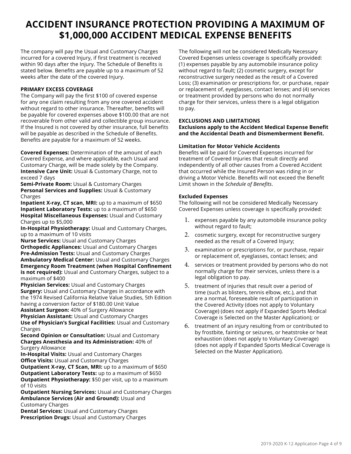# **ACCIDENT INSURANCE PROTECTION PROVIDING A MAXIMUM OF \$1,000,000 ACCIDENT MEDICAL EXPENSE BENEFITS**

The company will pay the Usual and Customary Charges incurred for a covered Injury, if first treatment is received within 90 days after the Injury. The Schedule of Benefits is stated below. Benefits are payable up to a maximum of 52 weeks after the date of the covered Injury.

#### **PRIMARY EXCESS COVERAGE**

The Company will pay the first \$100 of covered expense for any one claim resulting from any one covered accident without regard to other insurance. Thereafter, benefits will be payable for covered expenses above \$100.00 that are not recoverable from other valid and collectible group insurance. If the Insured is not covered by other insurance, full benefits will be payable as described in the Schedule of Benefits. Benefits are payable for a maximum of 52 weeks.

**Covered Expenses:** Determination of the amount of each Covered Expense, and where applicable, each Usual and Customary Charge, will be made solely by the Company. **Intensive Care Unit:** Usual & Customary Charge, not to exceed 7 days

**Semi-Private Room:** Usual & Customary Charges **Personal Services and Supplies:** Usual & Customary Charges

**Inpatient X-ray, CT scan, MRI:** up to a maximum of \$650 **Inpatient Laboratory Tests:** up to a maximum of \$650 **Hospital Miscellaneous Expenses:** Usual and Customary Charges up to \$5,000

**In-Hospital Physiotherapy:** Usual and Customary Charges, up to a maximum of 10 visits

**Nurse Services:** Usual and Customary Charges **Orthopedic Appliances:** Usual and Customary Charges **Pre-Admission Tests:** Usual and Customary Charges **Ambulatory Medical Center:** Usual and Customary Charges **Emergency Room Treatment (when Hospital Confinement is not required):** Usual and Customary Charges, subject to a maximum of \$400

**Physician Services:** Usual and Customary Charges **Surgery:** Usual and Customary Charges in accordance with the 1974 Revised California Relative Value Studies, 5th Edition having a conversion factor of \$180.00 Unit Value

**Assistant Surgeon:** 40% of Surgery Allowance **Physician Assistant:** Usual and Customary Charges **Use of Physician's Surgical Facilities:** Usual and Customary Charges

**Second Opinion or Consultation:** Usual and Customary **Charges Anesthesia and its Administration:** 40% of Surgery Allowance

**In-Hospital Visits:** Usual and Customary Charges **Office Visits:** Usual and Customary Charges

**Outpatient X-ray, CT Scan, MRI:** up to a maximum of \$650 **Outpatient Laboratory Tests:** up to a maximum of \$650 **Outpatient Physiotherapy:** \$50 per visit, up to a maximum of 10 visits

**Outpatient Nursing Services:** Usual and Customary Charges **Ambulance Services (Air and Ground):** Usual and Customary Charges

**Dental Services:** Usual and Customary Charges **Prescription Drugs: Usual and Customary Charges** 

The following will not be considered Medically Necessary Covered Expenses unless coverage is specifically provided: (1) expenses payable by any automobile insurance policy without regard to fault; (2) cosmetic surgery, except for reconstructive surgery needed as the result of a Covered Loss; (3) examination or prescriptions for, or purchase, repair or replacement of, eyeglasses, contact lenses; and (4) services or treatment provided by persons who do not normally charge for their services, unless there is a legal obligation to pay.

#### **EXCLUSIONS AND LIMITATIONS**

#### **Exclusions apply to the Accident Medical Expense Benefit and the Accidental Death and Dismemberment Benefit.**

#### **Limitation for Motor Vehicle Accidents**

Benefits will be paid for Covered Expenses incurred for treatment of Covered Injuries that result directly and independently of all other causes from a Covered Accident that occurred while the Insured Person was riding in or driving a Motor Vehicle. Benefits will not exceed the Benefit Limit shown in the *Schedule of Benefits*.

#### **Excluded Expenses**

The following will not be considered Medically Necessary Covered Expenses unless coverage is specifically provided:

- 1. expenses payable by any automobile insurance policy without regard to fault;
- 2. cosmetic surgery, except for reconstructive surgery needed as the result of a Covered Injury;
- 3. examination or prescriptions for, or purchase, repair or replacement of, eyeglasses, contact lenses; and
- 4. services or treatment provided by persons who do not normally charge for their services, unless there is a legal obligation to pay.
- 5. treatment of injuries that result over a period of time (such as blisters, tennis elbow, etc.), and that are a normal, foreseeable result of participation in the Covered Activity (does not apply to Voluntary Coverage) (does not apply if Expanded Sports Medical Coverage is Selected on the Master Application); or
- 6. treatment of an injury resulting from or contributed to by frostbite, fainting or seizures, or heatstroke or heat exhaustion (does not apply to Voluntary Coverage) (does not apply if Expanded Sports Medical Coverage is Selected on the Master Application).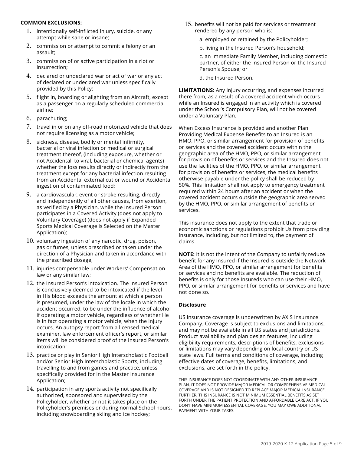#### **COMMON EXCLUSIONS:**

- 1. intentionally self-inflicted injury, suicide, or any attempt while sane or insane;
- 2. commission or attempt to commit a felony or an assault;
- 3. commission of or active participation in a riot or insurrection;
- 4. declared or undeclared war or act of war or any act of declared or undeclared war unless specifically provided by this Policy;
- 5. flight in, boarding or alighting from an Aircraft, except as a passenger on a regularly scheduled commercial airline;
- 6. parachuting;
- 7. travel in or on any off-road motorized vehicle that does not require licensing as a motor vehicle;
- 8. sickness, disease, bodily or mental infirmity, bacterial or viral infection or medical or surgical treatment thereof, (including exposure, whether or not Accidental, to viral, bacterial or chemical agents) whether the loss results directly or indirectly from the treatment except for any bacterial infection resulting from an Accidental external cut or wound or Accidental ingestion of contaminated food;
- 9. a cardiovascular, event or stroke resulting, directly and independently of all other causes, from exertion, as verified by a Physician, while the Insured Person participates in a Covered Activity (does not apply to Voluntary Coverage) (does not apply if Expanded Sports Medical Coverage is Selected on the Master Application);
- 10. voluntary ingestion of any narcotic, drug, poison, gas or fumes, unless prescribed or taken under the direction of a Physician and taken in accordance with the prescribed dosage;
- 11. injuries compensable under Workers' Compensation law or any similar law;
- 12. the Insured Person's intoxication. The Insured Person is conclusively deemed to be intoxicated if the level in His blood exceeds the amount at which a person is presumed, under the law of the locale in which the accident occurred, to be under the influence of alcohol if operating a motor vehicle, regardless of whether He is in fact operating a motor vehicle, when the injury occurs. An autopsy report from a licensed medical examiner, law enforcement officer's report, or similar items will be considered proof of the Insured Person's intoxication;
- 13. practice or play in Senior High Interscholastic Football and/or Senior High Interscholastic Sports, including travelling to and from games and practice, unless specifically provided for in the Master Insurance Application;
- 14. participation in any sports activity not specifically authorized, sponsored and supervised by the Policyholder, whether or not it takes place on the Policyholder's premises or during normal School hours, including snowboarding skiing and ice hockey;
- 15. benefits will not be paid for services or treatment rendered by any person who is:
	- a. employed or retained by the Policyholder;
	- b. living in the Insured Person's household;

c. an Immediate Family Member, including domestic partner, of either the Insured Person or the Insured Person's Spouse; or

d. the Insured Person.

**LIMITATIONS:** Any Injury occurring, and expenses incurred there from, as a result of a covered accident which occurs while an Insured is engaged in an activity which is covered under the School's Compulsory Plan, will not be covered under a Voluntary Plan.

When Excess Insurance is provided and another Plan Providing Medical Expense Benefits to an Insured is an HMO, PPO, or similar arrangement for provision of benefits or services and the covered accident occurs within the geographic area of the HMO, PPO, or similar arrangement for provision of benefits or services and the Insured does not use the facilities of the HMO, PPO, or similar arrangement for provision of benefits or services, the medical benefits otherwise payable under the policy shall be reduced by 50%. This limitation shall not apply to emergency treatment required within 24 hours after an accident or when the covered accident occurs outside the geographic area served by the HMO, PPO, or similar arrangement of benefits or services.

This insurance does not apply to the extent that trade or economic sanctions or regulations prohibit Us from providing insurance, including, but not limited to, the payment of claims.

**NOTE:** It is not the intent of the Company to unfairly reduce benefit for any Insured if the Insured is outside the Network Area of the HMO, PPO, or similar arrangement for benefits or services and no benefits are available. The reduction of benefits is only for those Insureds who can use their HMO, PPO, or similar arrangement for benefits or services and have not done so.

#### **Disclosure**

US insurance coverage is underwritten by AXIS Insurance Company. Coverage is subject to exclusions and limitations, and may not be available in all US states and jurisdictions. Product availability and plan design features, including eligibility requirements, descriptions of benefits, exclusions or limitations may vary depending on local country or US state laws. Full terms and conditions of coverage, including effective dates of coverage, benefits, limitations, and exclusions, are set forth in the policy.

THIS INSURANCE DOES NOT COORDINATE WITH ANY OTHER INSURANCE PLAN. IT DOES NOT PROVIDE MAJOR MEDICAL OR COMPREHENSIVE MEDICAL COVERAGE AND IS NOT DESIGNED TO REPLACE MAJOR MEDICAL INSURANCE. FURTHER, THIS INSURANCE IS NOT MINIMUM ESSENTIAL BENEFITS AS SET FORTH UNDER THE PATIENT PROTECTION AND AFFORDABLE CARE ACT. IF YOU DON'T HAVE MINIMUM ESSENTIAL COVERAGE, YOU MAY OWE ADDITIONAL PAYMENT WITH YOUR TAXES.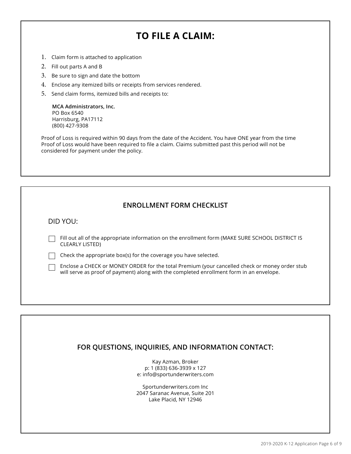# **TO FILE A CLAIM:**

- 1. Claim form is attached to application
- 2. Fill out parts A and B
- 3. Be sure to sign and date the bottom
- 4. Enclose any itemized bills or receipts from services rendered.
- 5. Send claim forms, itemized bills and receipts to:

**MCA Administrators, Inc.**  PO Box 6540 Harrisburg, PA17112 (800) 427-9308

Proof of Loss is required within 90 days from the date of the Accident. You have ONE year from the time Proof of Loss would have been required to file a claim. Claims submitted past this period will not be considered for payment under the policy.

### **ENROLLMENT FORM CHECKLIST**

DID YOU:

Fill out all of the appropriate information on the enrollment form (MAKE SURE SCHOOL DISTRICT IS CLEARLY LISTED)

 $\Box$  Check the appropriate box(s) for the coverage you have selected.

Enclose a CHECK or MONEY ORDER for the total Premium (your cancelled check or money order stub will serve as proof of payment) along with the completed enrollment form in an envelope.

# **FOR QUESTIONS, INQUIRIES, AND INFORMATION CONTACT:**

Kay Azman, Broker p: 1 (833) 636-3939 x 127 e: info@sportunderwriters.com

Sportunderwriters.com Inc 2047 Saranac Avenue, Suite 201 Lake Placid, NY 12946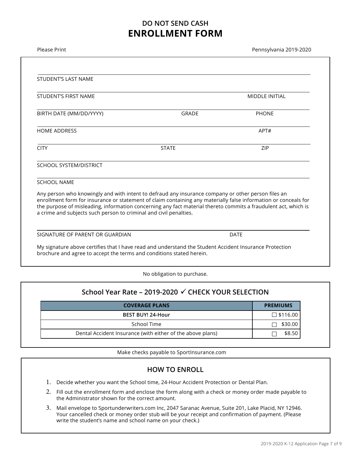# **DO NOT SEND CASH ENROLLMENT FORM**

| Please Print                                                                                                                                                                                                                                                                                                                                                                                                 |              | Pennsylvania 2019-2020 |  |  |
|--------------------------------------------------------------------------------------------------------------------------------------------------------------------------------------------------------------------------------------------------------------------------------------------------------------------------------------------------------------------------------------------------------------|--------------|------------------------|--|--|
|                                                                                                                                                                                                                                                                                                                                                                                                              |              |                        |  |  |
| <b>STUDENT'S LAST NAME</b>                                                                                                                                                                                                                                                                                                                                                                                   |              |                        |  |  |
| STUDENT'S FIRST NAME                                                                                                                                                                                                                                                                                                                                                                                         |              | <b>MIDDLE INITIAL</b>  |  |  |
| BIRTH DATE (MM/DD/YYYY)                                                                                                                                                                                                                                                                                                                                                                                      | <b>GRADE</b> | <b>PHONE</b>           |  |  |
| <b>HOME ADDRESS</b>                                                                                                                                                                                                                                                                                                                                                                                          |              | APT#                   |  |  |
| <b>CITY</b>                                                                                                                                                                                                                                                                                                                                                                                                  | <b>STATE</b> | ZIP                    |  |  |
| SCHOOL SYSTEM/DISTRICT                                                                                                                                                                                                                                                                                                                                                                                       |              |                        |  |  |
| <b>SCHOOL NAME</b>                                                                                                                                                                                                                                                                                                                                                                                           |              |                        |  |  |
| Any person who knowingly and with intent to defraud any insurance company or other person files an<br>enrollment form for insurance or statement of claim containing any materially false information or conceals for<br>the purpose of misleading, information concerning any fact material thereto commits a fraudulent act, which is<br>a crime and subjects such person to criminal and civil penalties. |              |                        |  |  |
| SIGNATURE OF PARENT OR GUARDIAN                                                                                                                                                                                                                                                                                                                                                                              |              | <b>DATE</b>            |  |  |
| My signature above certifies that I have read and understand the Student Accident Insurance Protection<br>brochure and agree to accept the terms and conditions stated herein.                                                                                                                                                                                                                               |              |                        |  |  |

No obligation to purchase.

# **School Year Rate – 2019-2020 CHECK YOUR SELECTION**

| <b>COVERAGE PLANS</b>                                      | <b>PREMIUMS</b> |
|------------------------------------------------------------|-----------------|
| BEST BUY! 24-Hour                                          | $\Box$ \$116.00 |
| School Time                                                | \$30.00         |
| Dental Accident Insurance (with either of the above plans) | \$8.50          |

Make checks payable to SportInsurance.com

### **HOW TO ENROLL**

- 1. Decide whether you want the School time, 24-Hour Accident Protection or Dental Plan.
- 2. Fill out the enrollment form and enclose the form along with a check or money order made payable to the Administrator shown for the correct amount.
- 3. Mail envelope to Sportunderwriters.com Inc, 2047 Saranac Avenue, Suite 201, Lake Placid, NY 12946. Your cancelled check or money order stub will be your receipt and confirmation of payment. (Please write the student's name and school name on your check.)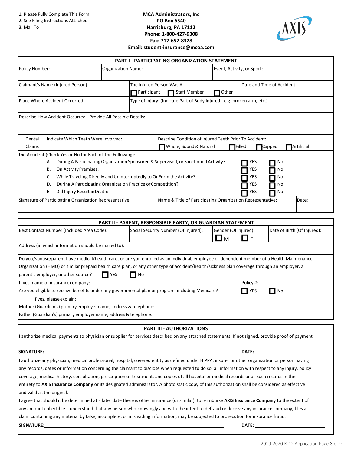#### 2. See Filing Instructions Attached

3. Mail To

#### **MCA Administrators, Inc PO Box 6540 Harrisburg, PA 17112 Phone: 1-800-427-9308 Fax: 717-652-8328 Email: student-insurance@mcoa.com**



|                                                                                                                                                                                                                                                                                                                                                                                                                                                                                                                                                                                                                                         |                                                                                                                                       | <b>PART I - PARTICIPATING ORGANIZATION STATEMENT</b>                                                                  |                                                                                               |                                                                                                                                                                                                                                |  |
|-----------------------------------------------------------------------------------------------------------------------------------------------------------------------------------------------------------------------------------------------------------------------------------------------------------------------------------------------------------------------------------------------------------------------------------------------------------------------------------------------------------------------------------------------------------------------------------------------------------------------------------------|---------------------------------------------------------------------------------------------------------------------------------------|-----------------------------------------------------------------------------------------------------------------------|-----------------------------------------------------------------------------------------------|--------------------------------------------------------------------------------------------------------------------------------------------------------------------------------------------------------------------------------|--|
| Policy Number:                                                                                                                                                                                                                                                                                                                                                                                                                                                                                                                                                                                                                          | <b>Organization Name:</b>                                                                                                             |                                                                                                                       |                                                                                               | Event, Activity, or Sport:                                                                                                                                                                                                     |  |
| Claimant's Name (Injured Person)                                                                                                                                                                                                                                                                                                                                                                                                                                                                                                                                                                                                        | Participant                                                                                                                           | The Injured Person Was A:<br><b>Staff Member</b>                                                                      | Other                                                                                         | Date and Time of Accident:                                                                                                                                                                                                     |  |
| Place Where Accident Occurred:                                                                                                                                                                                                                                                                                                                                                                                                                                                                                                                                                                                                          |                                                                                                                                       | Type of Injury: (Indicate Part of Body Injured - e.g. broken arm, etc.)                                               |                                                                                               |                                                                                                                                                                                                                                |  |
| Describe How Accident Occurred - Provide All Possible Details:                                                                                                                                                                                                                                                                                                                                                                                                                                                                                                                                                                          |                                                                                                                                       |                                                                                                                       |                                                                                               |                                                                                                                                                                                                                                |  |
| Dental<br>Indicate Which Teeth Were Involved:<br>Claims                                                                                                                                                                                                                                                                                                                                                                                                                                                                                                                                                                                 |                                                                                                                                       | Whole, Sound & Natural                                                                                                | Describe Condition of Injured Teeth Prior To Accident:<br><b>TFilled</b>                      | Artificial<br>Capped                                                                                                                                                                                                           |  |
| Did Accident (Check Yes or No for Each of The Following):<br>А.<br>On Activity Premises:<br>В.<br>C.<br>D.<br>Did Injury Result in Death:<br>Е.<br>Signature of Participating Organization Representative:                                                                                                                                                                                                                                                                                                                                                                                                                              | While Traveling Directly and Uninterruptedly to Or Form the Activity?<br>During A Participating Organization Practice or Competition? | During A Participating Organization Sponsored & Supervised, or Sanctioned Activity?                                   | YES<br>YES<br>YES<br>YES<br>YES<br>Name & Title of Participating Organization Representative: | No<br>No<br>No<br>No<br>No<br>Date:                                                                                                                                                                                            |  |
|                                                                                                                                                                                                                                                                                                                                                                                                                                                                                                                                                                                                                                         |                                                                                                                                       | PART II - PARENT, RESPONSIBLE PARTY, OR GUARDIAN STATEMENT                                                            |                                                                                               |                                                                                                                                                                                                                                |  |
| Social Security Number (Of Injured):<br>Best Contact Number (Included Area Code):                                                                                                                                                                                                                                                                                                                                                                                                                                                                                                                                                       |                                                                                                                                       | Gender (Of Injured):<br>-l F                                                                                          | Date of Birth (Of Injured):                                                                   |                                                                                                                                                                                                                                |  |
| Address (in which information should be mailed to):                                                                                                                                                                                                                                                                                                                                                                                                                                                                                                                                                                                     |                                                                                                                                       |                                                                                                                       |                                                                                               |                                                                                                                                                                                                                                |  |
| Do you/spouse/parent have medical/health care, or are you enrolled as an individual, employee or dependent member of a Health Maintenance<br>Organization (HMO) or similar prepaid health care plan, or any other type of accident/health/sickness plan coverage through an employer, a<br>parent's employer, or other source?<br>If yes, name of insurance company:                                                                                                                                                                                                                                                                    | $\blacksquare$ YES<br>No                                                                                                              |                                                                                                                       | Policy #: $\_$                                                                                |                                                                                                                                                                                                                                |  |
| Are you eligible to receive benefits under any governmental plan or program, including Medicare?<br>If yes, please explain:                                                                                                                                                                                                                                                                                                                                                                                                                                                                                                             |                                                                                                                                       |                                                                                                                       | <b>YES</b>                                                                                    | $\blacksquare$ No                                                                                                                                                                                                              |  |
| Mother (Guardian's) primary employer name, address & telephone: ___                                                                                                                                                                                                                                                                                                                                                                                                                                                                                                                                                                     |                                                                                                                                       |                                                                                                                       |                                                                                               |                                                                                                                                                                                                                                |  |
| Father (Guardian's) primary employer name, address & telephone:                                                                                                                                                                                                                                                                                                                                                                                                                                                                                                                                                                         |                                                                                                                                       |                                                                                                                       |                                                                                               |                                                                                                                                                                                                                                |  |
|                                                                                                                                                                                                                                                                                                                                                                                                                                                                                                                                                                                                                                         |                                                                                                                                       | <b>PART III - AUTHORIZATIONS</b>                                                                                      |                                                                                               |                                                                                                                                                                                                                                |  |
| I authorize medical payments to physician or supplier for services described on any attached statements. If not signed, provide proof of payment.                                                                                                                                                                                                                                                                                                                                                                                                                                                                                       |                                                                                                                                       |                                                                                                                       |                                                                                               |                                                                                                                                                                                                                                |  |
| <b>SIGNATURE:</b>                                                                                                                                                                                                                                                                                                                                                                                                                                                                                                                                                                                                                       |                                                                                                                                       | <u>and the state of the state of the state of the state of the state of the state of the state of the state of th</u> |                                                                                               | DATE: the contract of the contract of the contract of the contract of the contract of the contract of the contract of the contract of the contract of the contract of the contract of the contract of the contract of the cont |  |
| I authorize any physician, medical professional, hospital, covered entity as defined under HIPPA, insurer or other organization or person having<br>any records, dates or information concerning the claimant to disclose when requested to do so, all information with respect to any injury, policy<br>coverage, medical history, consultation, prescription or treatment, and copies of all hospital or medical records or all such records in their<br>entirety to AXIS Insurance Company or its designated administrator. A photo static copy of this authorization shall be considered as effective<br>and valid as the original. |                                                                                                                                       |                                                                                                                       |                                                                                               |                                                                                                                                                                                                                                |  |
| I agree that should it be determined at a later date there is other insurance (or similar), to reimburse AXIS Insurance Company to the extent of<br>any amount collectible. I understand that any person who knowingly and with the intent to defraud or deceive any insurance company; files a<br>claim containing any material by false, incomplete, or misleading information, may be subjected to prosecution for insurance fraud.<br><b>SIGNATURE:</b>                                                                                                                                                                             |                                                                                                                                       |                                                                                                                       |                                                                                               | DATE: the contract of the contract of the contract of the contract of the contract of the contract of the contract of the contract of the contract of the contract of the contract of the contract of the contract of the cont |  |